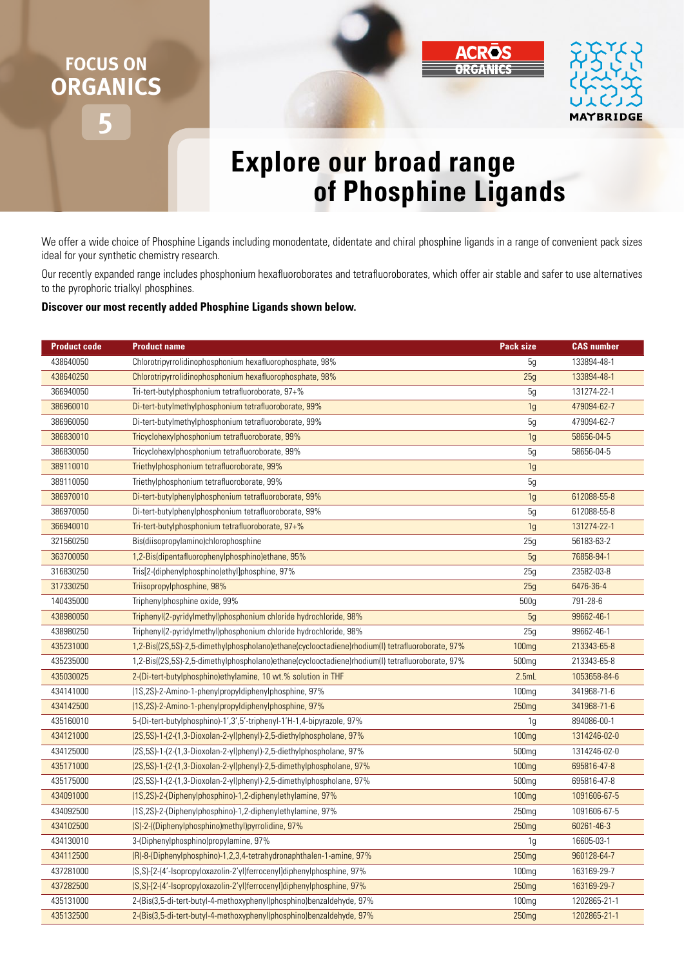## **FOCUS ON ORGANICS**





## **Explore our broad range of Phosphine Ligands**

We offer a wide choice of Phosphine Ligands including monodentate, didentate and chiral phosphine ligands in a range of convenient pack sizes ideal for your synthetic chemistry research.

Our recently expanded range includes phosphonium hexafluoroborates and tetrafluoroborates, which offer air stable and safer to use alternatives to the pyrophoric trialkyl phosphines.

## **Discover our most recently added Phosphine Ligands shown below.**

| <b>Product code</b> | <b>Product name</b>                                                                             | <b>Pack size</b>  | <b>CAS number</b> |
|---------------------|-------------------------------------------------------------------------------------------------|-------------------|-------------------|
| 438640050           | Chlorotripyrrolidinophosphonium hexafluorophosphate, 98%                                        | 5g                | 133894-48-1       |
| 438640250           | Chlorotripyrrolidinophosphonium hexafluorophosphate, 98%                                        | 25g               | 133894-48-1       |
| 366940050           | Tri-tert-butylphosphonium tetrafluoroborate, 97+%                                               | 5g                | 131274-22-1       |
| 386960010           | Di-tert-butylmethylphosphonium tetrafluoroborate, 99%                                           | 1g                | 479094-62-7       |
| 386960050           | Di-tert-butylmethylphosphonium tetrafluoroborate, 99%                                           | 5g                | 479094-62-7       |
| 386830010           | Tricyclohexylphosphonium tetrafluoroborate, 99%                                                 | 1 <sub>g</sub>    | 58656-04-5        |
| 386830050           | Tricyclohexylphosphonium tetrafluoroborate, 99%                                                 | 5g                | 58656-04-5        |
| 389110010           | Triethylphosphonium tetrafluoroborate, 99%                                                      | 1g                |                   |
| 389110050           | Triethylphosphonium tetrafluoroborate, 99%                                                      | 5g                |                   |
| 386970010           | Di-tert-butylphenylphosphonium tetrafluoroborate, 99%                                           | 1 <sub>q</sub>    | 612088-55-8       |
| 386970050           | Di-tert-butylphenylphosphonium tetrafluoroborate, 99%                                           | 5g                | 612088-55-8       |
| 366940010           | Tri-tert-butylphosphonium tetrafluoroborate, 97+%                                               | 1g                | 131274-22-1       |
| 321560250           | Bis(diisopropylamino)chlorophosphine                                                            | 25g               | 56183-63-2        |
| 363700050           | 1,2-Bis(dipentafluorophenylphosphino)ethane, 95%                                                | 5g                | 76858-94-1        |
| 316830250           | Tris[2-(diphenylphosphino)ethyl]phosphine, 97%                                                  | 25g               | 23582-03-8        |
| 317330250           | Triisopropylphosphine, 98%                                                                      | 25g               | 6476-36-4         |
| 140435000           | Triphenylphosphine oxide, 99%                                                                   | 500g              | 791-28-6          |
| 438980050           | Triphenyl(2-pyridylmethyl)phosphonium chloride hydrochloride, 98%                               | 5g                | 99662-46-1        |
| 438980250           | Triphenyl(2-pyridylmethyl)phosphonium chloride hydrochloride, 98%                               | 25g               | 99662-46-1        |
| 435231000           | 1,2-Bis((2S,5S)-2,5-dimethylphospholano)ethane(cyclooctadiene)rhodium(I) tetrafluoroborate, 97% | 100 <sub>mg</sub> | 213343-65-8       |
| 435235000           | 1,2-Bis((2S,5S)-2,5-dimethylphospholano)ethane(cyclooctadiene)rhodium(I) tetrafluoroborate, 97% | 500 <sub>mg</sub> | 213343-65-8       |
| 435030025           | 2-(Di-tert-butylphosphino)ethylamine, 10 wt.% solution in THF                                   | 2.5mL             | 1053658-84-6      |
| 434141000           | (1S,2S)-2-Amino-1-phenylpropyldiphenylphosphine, 97%                                            | 100 <sub>mg</sub> | 341968-71-6       |
| 434142500           | (1S,2S)-2-Amino-1-phenylpropyldiphenylphosphine, 97%                                            | 250 <sub>mg</sub> | 341968-71-6       |
| 435160010           | 5-(Di-tert-butylphosphino)-1',3',5'-triphenyl-1'H-1,4-bipyrazole, 97%                           | 1g                | 894086-00-1       |
| 434121000           | (2S, 5S)-1-(2-(1, 3-Dioxolan-2-yl)phenyl)-2, 5-diethylphospholane, 97%                          | 100 <sub>mg</sub> | 1314246-02-0      |
| 434125000           | (2S,5S)-1-(2-(1,3-Dioxolan-2-yl)phenyl)-2,5-diethylphospholane, 97%                             | 500 <sub>mq</sub> | 1314246-02-0      |
| 435171000           | (2S, 5S)-1-(2-(1, 3-Dioxolan-2-yl)phenyl)-2, 5-dimethylphospholane, 97%                         | 100 <sub>mg</sub> | 695816-47-8       |
| 435175000           | (2S, 5S)-1-(2-(1, 3-Dioxolan-2-yl) phenyl)-2, 5-dimethyl phospholane, 97%                       | 500 <sub>mg</sub> | 695816-47-8       |
| 434091000           | (1S,2S)-2-(Diphenylphosphino)-1,2-diphenylethylamine, 97%                                       | 100 <sub>mq</sub> | 1091606-67-5      |
| 434092500           | (1S,2S)-2-(Diphenylphosphino)-1,2-diphenylethylamine, 97%                                       | 250 <sub>mq</sub> | 1091606-67-5      |
| 434102500           | (S)-2-((Diphenylphosphino)methyl)pyrrolidine, 97%                                               | 250 <sub>mg</sub> | 60261-46-3        |
| 434130010           | 3-(Diphenylphosphino)propylamine, 97%                                                           | 1g                | 16605-03-1        |
| 434112500           | (R)-8-(Diphenylphosphino)-1,2,3,4-tetrahydronaphthalen-1-amine, 97%                             | 250 <sub>mg</sub> | 960128-64-7       |
| 437281000           | (S,S)-[2-(4'-Isopropyloxazolin-2'yl)ferrocenyl]diphenylphosphine, 97%                           | 100 <sub>mg</sub> | 163169-29-7       |
| 437282500           | (S,S)-[2-(4'-Isopropyloxazolin-2'yl)ferrocenyl]diphenylphosphine, 97%                           | 250 <sub>mg</sub> | 163169-29-7       |
| 435131000           | 2-(Bis(3,5-di-tert-butyl-4-methoxyphenyl)phosphino)benzaldehyde, 97%                            | 100 <sub>mg</sub> | 1202865-21-1      |
| 435132500           | 2-(Bis(3,5-di-tert-butyl-4-methoxyphenyl)phosphino)benzaldehyde, 97%                            | 250mg             | 1202865-21-1      |